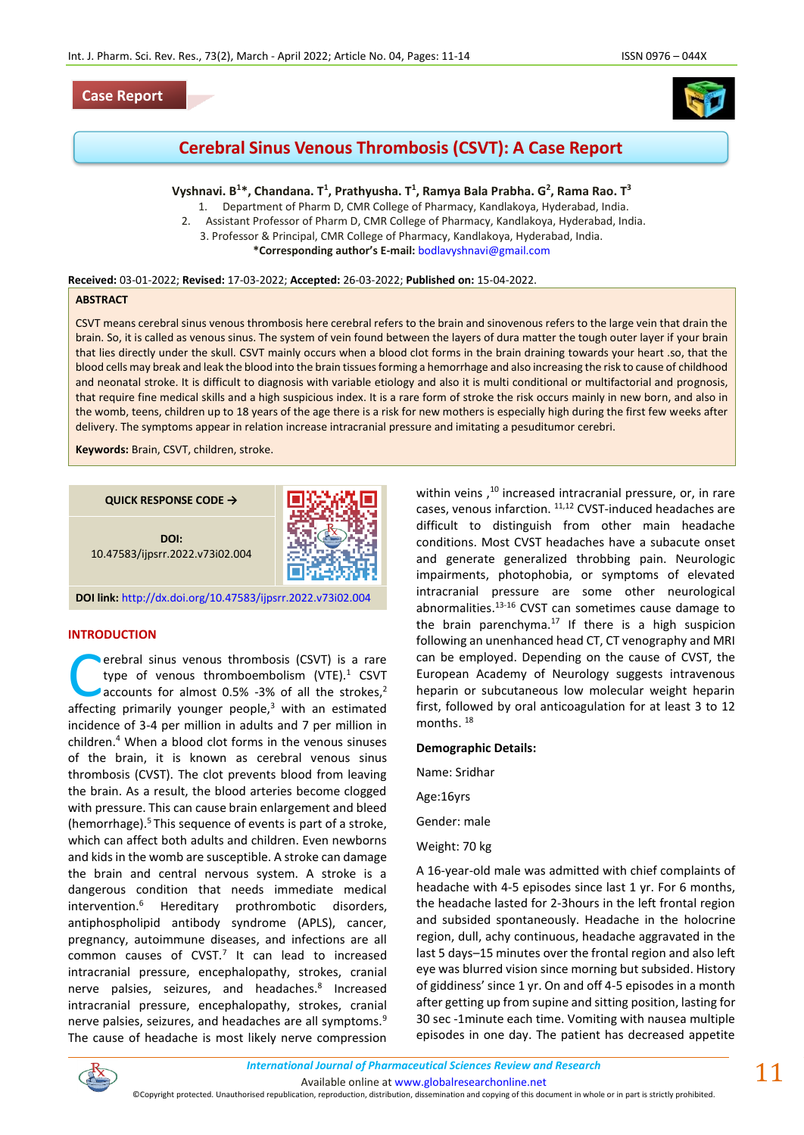### **Case Report**



# **Cerebral Sinus Venous Thrombosis (CSVT): A Case Report**

# **Vyshnavi. B<sup>1</sup>\*, Chandana. T<sup>1</sup> , Prathyusha. T<sup>1</sup> , Ramya Bala Prabha. G<sup>2</sup> , Rama Rao. T<sup>3</sup>**

1. Department of Pharm D, CMR College of Pharmacy, Kandlakoya, Hyderabad, India.

- 2. Assistant Professor of Pharm D, CMR College of Pharmacy, Kandlakoya, Hyderabad, India.
- 3. Professor & Principal, CMR College of Pharmacy, Kandlakoya, Hyderabad, India.

**\*Corresponding author's E-mail:** [bodlavyshnavi@gmail.com](mailto:bodlavyshnavi@gmail.com)

#### **Received:** 03-01-2022; **Revised:** 17-03-2022; **Accepted:** 26-03-2022; **Published on:** 15-04-2022.

#### **ABSTRACT**

CSVT means cerebral sinus venous thrombosis here cerebral refers to the brain and sinovenous refers to the large vein that drain the brain. So, it is called as venous sinus. The system of vein found between the layers of dura matter the tough outer layer if your brain that lies directly under the skull. CSVT mainly occurs when a blood clot forms in the brain draining towards your heart .so, that the blood cells may break and leak the blood into the brain tissues forming a hemorrhage and also increasing the risk to cause of childhood and neonatal stroke. It is difficult to diagnosis with variable etiology and also it is multi conditional or multifactorial and prognosis, that require fine medical skills and a high suspicious index. It is a rare form of stroke the risk occurs mainly in new born, and also in the womb, teens, children up to 18 years of the age there is a risk for new mothers is especially high during the first few weeks after delivery. The symptoms appear in relation increase intracranial pressure and imitating a pesuditumor cerebri.

**Keywords:** Brain, CSVT, children, stroke.

**QUICK RESPONSE CODE →**

**DOI:** 10.47583/ijpsrr.2022.v73i02.004



**DOI link:** <http://dx.doi.org/10.47583/ijpsrr.2022.v73i02.004>

#### **INTRODUCTION**

**Nerebral sinus venous thrombosis (CSVT) is a rare** type of venous thromboembolism (VTE). $1$  CSVT accounts for almost 0.5% -3% of all the strokes,<sup>2</sup> **Example 18 years and School School School School School School School School School School School School School School School School School School School School School School School School School School School School Scho** incidence of 3-4 per million in adults and 7 per million in children.<sup>4</sup> When a blood clot forms in the venous sinuses of the brain, it is known as cerebral venous sinus thrombosis (CVST). The clot prevents blood from leaving the brain. As a result, the blood arteries become clogged with pressure. This can cause brain enlargement and bleed (hemorrhage). $5$ This sequence of events is part of a stroke, which can affect both adults and children. Even newborns and kids in the womb are susceptible. A stroke can damage the brain and central nervous system. A stroke is a dangerous condition that needs immediate medical intervention.<sup>6</sup> Hereditary prothrombotic disorders, antiphospholipid antibody syndrome (APLS), cancer, pregnancy, autoimmune diseases, and infections are all  $common$  causes of  $CVST<sup>7</sup>$  It can lead to increased intracranial pressure, encephalopathy, strokes, cranial nerve palsies, seizures, and headaches.<sup>8</sup> Increased intracranial pressure, encephalopathy, strokes, cranial nerve palsies, seizures, and headaches are all symptoms.<sup>9</sup> The cause of headache is most likely nerve compression

within veins,<sup>10</sup> increased intracranial pressure, or, in rare cases, venous infarction. 11,12 CVST-induced headaches are difficult to distinguish from other main headache conditions. Most CVST headaches have a subacute onset and generate generalized throbbing pain. Neurologic impairments, photophobia, or symptoms of elevated intracranial pressure are some other neurological abnormalities.13-16 CVST can sometimes cause damage to the brain parenchyma.<sup>17</sup> If there is a high suspicion following an unenhanced head CT, CT venography and MRI can be employed. Depending on the cause of CVST, the European Academy of Neurology suggests intravenous heparin or subcutaneous low molecular weight heparin first, followed by oral anticoagulation for at least 3 to 12 months.<sup>18</sup>

#### **Demographic Details:**

Name: Sridhar

Age:16yrs

Gender: male

Weight: 70 kg

A 16-year-old male was admitted with chief complaints of headache with 4-5 episodes since last 1 yr. For 6 months, the headache lasted for 2-3hours in the left frontal region and subsided spontaneously. Headache in the holocrine region, dull, achy continuous, headache aggravated in the last 5 days–15 minutes over the frontal region and also left eye was blurred vision since morning but subsided. History of giddiness' since 1 yr. On and off 4-5 episodes in a month after getting up from supine and sitting position, lasting for 30 sec -1minute each time. Vomiting with nausea multiple episodes in one day. The patient has decreased appetite



©Copyright protected. Unauthorised republication, reproduction, distribution, dissemination and copying of this document in whole or in part is strictly prohibited.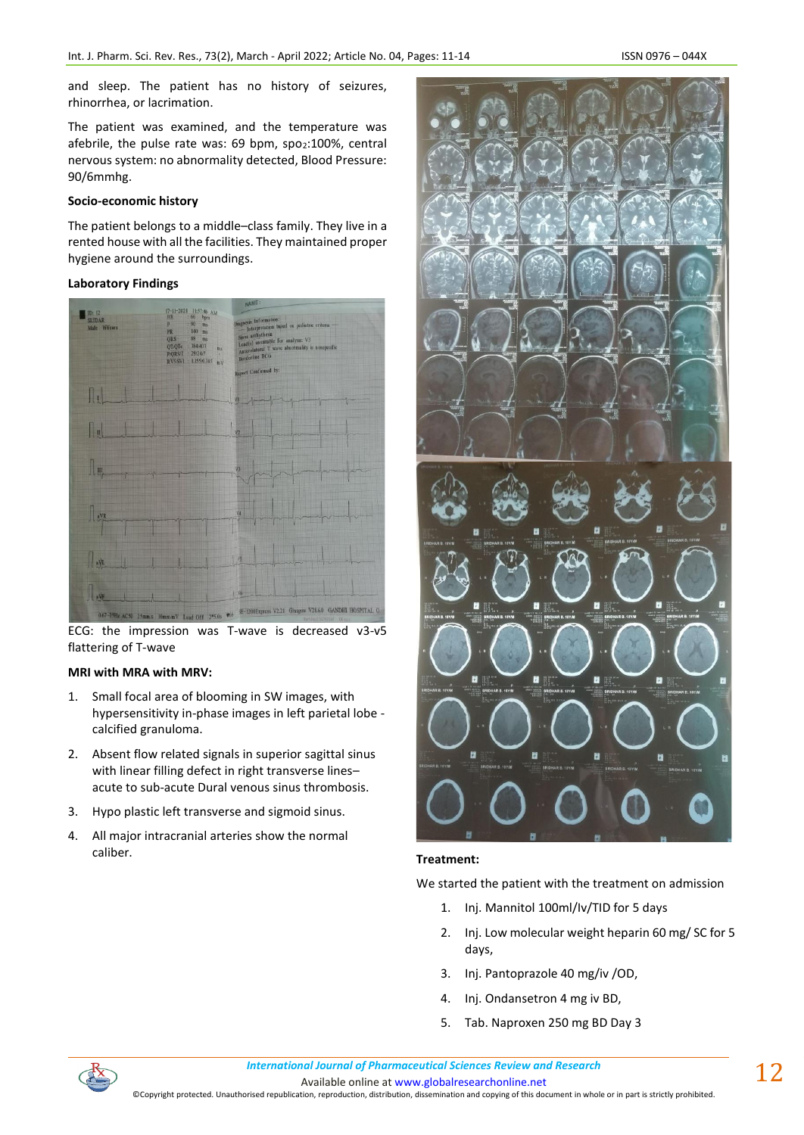and sleep. The patient has no history of seizures, rhinorrhea, or lacrimation.

The patient was examined, and the temperature was afebrile, the pulse rate was: 69 bpm, spo2:100%, central nervous system: no abnormality detected, Blood Pressure: 90/6mmhg.

# **Socio-economic history**

The patient belongs to a middle–class family. They live in a rented house with all the facilities. They maintained proper hygiene around the surroundings.

### **Laboratory Findings**



ECG: the impression was T-wave is decreased v3-v5 flattering of T-wave

# **MRI with MRA with MRV:**

- 1. Small focal area of blooming in SW images, with hypersensitivity in-phase images in left parietal lobe calcified granuloma.
- 2. Absent flow related signals in superior sagittal sinus with linear filling defect in right transverse lines– acute to sub-acute Dural venous sinus thrombosis.
- 3. Hypo plastic left transverse and sigmoid sinus.
- 4. All major intracranial arteries show the normal caliber. **Treatment:**



We started the patient with the treatment on admission

- 1. Inj. Mannitol 100ml/Iv/TID for 5 days
- 2. Inj. Low molecular weight heparin 60 mg/ SC for 5 days,
- 3. Inj. Pantoprazole 40 mg/iv /OD,
- 4. Inj. Ondansetron 4 mg iv BD,
- 5. Tab. Naproxen 250 mg BD Day 3



*International Journal of Pharmaceutical Sciences Review and Research International Journal of Pharmaceutical Sciences Review and Research*

Available online a[t www.globalresearchonline.net](http://www.globalresearchonline.net/)

©Copyright protected. Unauthorised republication, reproduction, distribution, dissemination and copying of this document in whole or in part is strictly prohibited.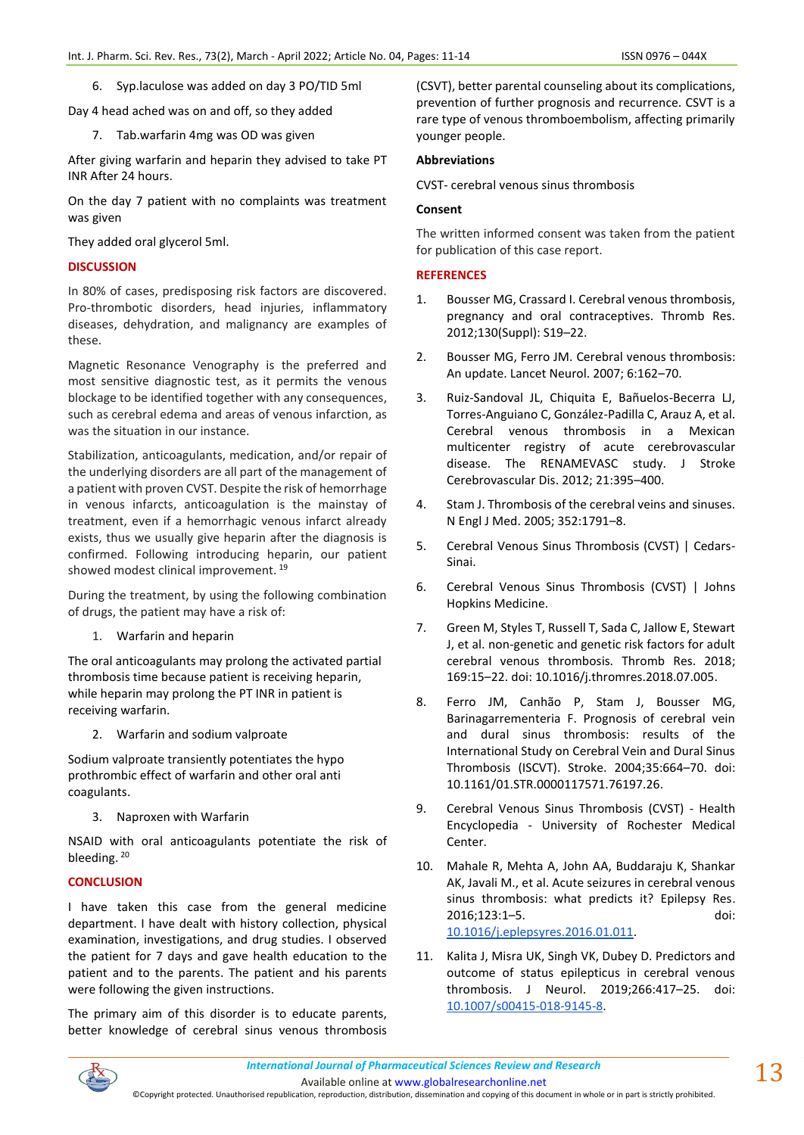6. Syp.laculose was added on day 3 PO/TID 5ml

Day 4 head ached was on and off, so they added

7. Tab.warfarin 4mg was OD was given

After giving warfarin and heparin they advised to take PT INR After 24 hours.

On the day 7 patient with no complaints was treatment was given

They added oral glycerol 5ml.

# **DISCUSSION**

In 80% of cases, predisposing risk factors are discovered. Pro-thrombotic disorders, head injuries, inflammatory diseases, dehydration, and malignancy are examples of these.

Magnetic Resonance Venography is the preferred and most sensitive diagnostic test, as it permits the venous blockage to be identified together with any consequences, such as cerebral edema and areas of venous infarction, as was the situation in our instance.

Stabilization, anticoagulants, medication, and/or repair of the underlying disorders are all part of the management of a patient with proven CVST. Despite the risk of hemorrhage in venous infarcts, anticoagulation is the mainstay of treatment, even if a hemorrhagic venous infarct already exists, thus we usually give heparin after the diagnosis is confirmed. Following introducing heparin, our patient showed modest clinical improvement.<sup>19</sup>

During the treatment, by using the following combination of drugs, the patient may have a risk of:

1. Warfarin and heparin

The oral anticoagulants may prolong the activated partial thrombosis time because patient is receiving heparin, while heparin may prolong the PT INR in patient is receiving warfarin.

2. Warfarin and sodium valproate

Sodium valproate transiently potentiates the hypo prothrombic effect of warfarin and other oral anti coagulants.

3. Naproxen with Warfarin

NSAID with oral anticoagulants potentiate the risk of bleeding.<sup>20</sup>

# **CONCLUSION**

I have taken this case from the general medicine department. I have dealt with history collection, physical examination, investigations, and drug studies. I observed the patient for 7 days and gave health education to the patient and to the parents. The patient and his parents were following the given instructions.

The primary aim of this disorder is to educate parents, better knowledge of cerebral sinus venous thrombosis (CSVT), better parental counseling about its complications, prevention of further prognosis and recurrence. CSVT is a rare type of venous thromboembolism, affecting primarily younger people.

#### **Abbreviations**

CVST- cerebral venous sinus thrombosis

# **Consent**

The written informed consent was taken from the patient for publication of this case report.

### **REFERENCES**

- 1. Bousser MG, Crassard I. Cerebral venous thrombosis, pregnancy and oral contraceptives. Thromb Res. 2012;130(Suppl): S19–22.
- 2. Bousser MG, Ferro JM. Cerebral venous thrombosis: An update. Lancet Neurol. 2007; 6:162–70.
- 3. Ruiz-Sandoval JL, Chiquita E, Bañuelos-Becerra LJ, Torres-Anguiano C, González-Padilla C, Arauz A, et al. Cerebral venous thrombosis in a Mexican multicenter registry of acute cerebrovascular disease. The RENAMEVASC study. J Stroke Cerebrovascular Dis. 2012; 21:395–400.
- 4. Stam J. Thrombosis of the cerebral veins and sinuses. N Engl J Med. 2005; 352:1791–8.
- 5. Cerebral Venous Sinus Thrombosis (CVST) | Cedars-Sinai.
- 6. Cerebral Venous Sinus Thrombosis (CVST) | Johns Hopkins Medicine.
- 7. Green M, Styles T, Russell T, Sada C, Jallow E, Stewart J, et al. non-genetic and genetic risk factors for adult cerebral venous thrombosis. Thromb Res. 2018; 169:15–22. doi: 10.1016/j.thromres.2018.07.005.
- 8. Ferro JM, Canhão P, Stam J, Bousser MG, Barinagarrementeria F. Prognosis of cerebral vein and dural sinus thrombosis: results of the International Study on Cerebral Vein and Dural Sinus Thrombosis (ISCVT). Stroke. 2004;35:664–70. doi: 10.1161/01.STR.0000117571.76197.26.
- 9. Cerebral Venous Sinus Thrombosis (CVST) Health Encyclopedia - University of Rochester Medical Center.
- 10. Mahale R, Mehta A, John AA, Buddaraju K, Shankar AK, Javali M., et al. Acute seizures in cerebral venous sinus thrombosis: what predicts it? Epilepsy Res. 2016;123:1–5. doi: [10.1016/j.eplepsyres.2016.01.011.](https://pubmed.ncbi.nlm.nih.gov/27023399)
- 11. Kalita J, Misra UK, Singh VK, Dubey D. Predictors and outcome of status epilepticus in cerebral venous thrombosis. J Neurol. 2019;266:417–25. doi: [10.1007/s00415-018-9145-8.](https://pubmed.ncbi.nlm.nih.gov/30569383/)



Available online a[t www.globalresearchonline.net](http://www.globalresearchonline.net/)

©Copyright protected. Unauthorised republication, reproduction, distribution, dissemination and copying of this document in whole or in part is strictly prohibited.